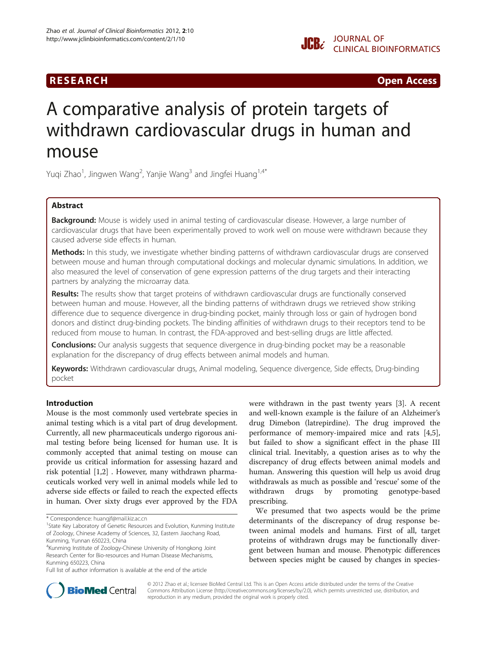## R E S EA RCH Open Access

# A comparative analysis of protein targets of withdrawn cardiovascular drugs in human and mouse

Yuqi Zhao<sup>1</sup>, Jingwen Wang<sup>2</sup>, Yanjie Wang<sup>3</sup> and Jingfei Huang<sup>1,4\*</sup>

## Abstract

**Background:** Mouse is widely used in animal testing of cardiovascular disease. However, a large number of cardiovascular drugs that have been experimentally proved to work well on mouse were withdrawn because they caused adverse side effects in human.

Methods: In this study, we investigate whether binding patterns of withdrawn cardiovascular drugs are conserved between mouse and human through computational dockings and molecular dynamic simulations. In addition, we also measured the level of conservation of gene expression patterns of the drug targets and their interacting partners by analyzing the microarray data.

Results: The results show that target proteins of withdrawn cardiovascular drugs are functionally conserved between human and mouse. However, all the binding patterns of withdrawn drugs we retrieved show striking difference due to sequence divergence in drug-binding pocket, mainly through loss or gain of hydrogen bond donors and distinct drug-binding pockets. The binding affinities of withdrawn drugs to their receptors tend to be reduced from mouse to human. In contrast, the FDA-approved and best-selling drugs are little affected.

**Conclusions:** Our analysis suggests that sequence divergence in drug-binding pocket may be a reasonable explanation for the discrepancy of drug effects between animal models and human.

Keywords: Withdrawn cardiovascular drugs, Animal modeling, Sequence divergence, Side effects, Drug-binding pocket

## Introduction

Mouse is the most commonly used vertebrate species in animal testing which is a vital part of drug development. Currently, all new pharmaceuticals undergo rigorous animal testing before being licensed for human use. It is commonly accepted that animal testing on mouse can provide us critical information for assessing hazard and risk potential [[1,2\]](#page-7-0) . However, many withdrawn pharmaceuticals worked very well in animal models while led to adverse side effects or failed to reach the expected effects in human. Over sixty drugs ever approved by the FDA

4 Kunming Institute of Zoology-Chinese University of Hongkong Joint Research Center for Bio-resources and Human Disease Mechanisms, Kunming 650223, China

were withdrawn in the past twenty years [\[3\]](#page-7-0). A recent and well-known example is the failure of an Alzheimer's drug Dimebon (latrepirdine). The drug improved the performance of memory-impaired mice and rats [\[4,5](#page-7-0)], but failed to show a significant effect in the phase III clinical trial. Inevitably, a question arises as to why the discrepancy of drug effects between animal models and human. Answering this question will help us avoid drug withdrawals as much as possible and 'rescue' some of the withdrawn drugs by promoting genotype-based prescribing.

We presumed that two aspects would be the prime determinants of the discrepancy of drug response between animal models and humans. First of all, target proteins of withdrawn drugs may be functionally divergent between human and mouse. Phenotypic differences between species might be caused by changes in species-



© 2012 Zhao et al.; licensee BioMed Central Ltd. This is an Open Access article distributed under the terms of the Creative Commons Attribution License (http://creativecommons.org/licenses/by/2.0), which permits unrestricted use, distribution, and reproduction in any medium, provided the original work is properly cited.

<sup>\*</sup> Correspondence: [huangjf@mail.kiz.ac.cn](mailto:huangjf@mail.kiz.ac.cn) <sup>1</sup>

<sup>&</sup>lt;sup>1</sup>State Key Laboratory of Genetic Resources and Evolution, Kunming Institute of Zoology, Chinese Academy of Sciences, 32, Eastern Jiaochang Road, Kunming, Yunnan 650223, China

Full list of author information is available at the end of the article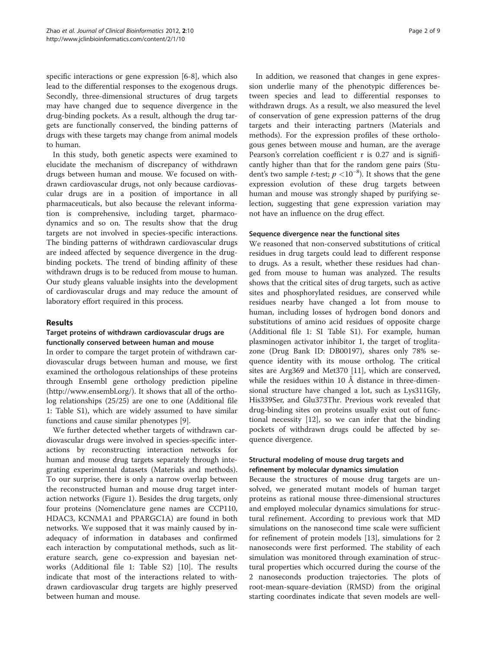specific interactions or gene expression [\[6](#page-7-0)-[8](#page-7-0)], which also lead to the differential responses to the exogenous drugs. Secondly, three-dimensional structures of drug targets may have changed due to sequence divergence in the drug-binding pockets. As a result, although the drug targets are functionally conserved, the binding patterns of drugs with these targets may change from animal models to human.

In this study, both genetic aspects were examined to elucidate the mechanism of discrepancy of withdrawn drugs between human and mouse. We focused on withdrawn cardiovascular drugs, not only because cardiovascular drugs are in a position of importance in all pharmaceuticals, but also because the relevant information is comprehensive, including target, pharmacodynamics and so on. The results show that the drug targets are not involved in species-specific interactions. The binding patterns of withdrawn cardiovascular drugs are indeed affected by sequence divergence in the drugbinding pockets. The trend of binding affinity of these withdrawn drugs is to be reduced from mouse to human. Our study gleans valuable insights into the development of cardiovascular drugs and may reduce the amount of laboratory effort required in this process.

#### Results

#### Target proteins of withdrawn cardiovascular drugs are functionally conserved between human and mouse

In order to compare the target protein of withdrawn cardiovascular drugs between human and mouse, we first examined the orthologous relationships of these proteins through Ensembl gene orthology prediction pipeline (<http://www.ensembl.org/>). It shows that all of the ortholog relationships (25/25) are one to one (Additional file [1:](#page-7-0) Table S1), which are widely assumed to have similar functions and cause similar phenotypes [\[9](#page-7-0)].

We further detected whether targets of withdrawn cardiovascular drugs were involved in species-specific interactions by reconstructing interaction networks for human and mouse drug targets separately through integrating experimental datasets ([Materials and methods](#page-6-0)). To our surprise, there is only a narrow overlap between the reconstructed human and mouse drug target interaction networks (Figure [1\)](#page-2-0). Besides the drug targets, only four proteins (Nomenclature gene names are CCP110, HDAC3, KCNMA1 and PPARGC1A) are found in both networks. We supposed that it was mainly caused by inadequacy of information in databases and confirmed each interaction by computational methods, such as literature search, gene co-expression and bayesian networks (Additional file [1](#page-7-0): Table S2) [[10](#page-7-0)]. The results indicate that most of the interactions related to withdrawn cardiovascular drug targets are highly preserved between human and mouse.

In addition, we reasoned that changes in gene expression underlie many of the phenotypic differences between species and lead to differential responses to withdrawn drugs. As a result, we also measured the level of conservation of gene expression patterns of the drug targets and their interacting partners [\(Materials and](#page-6-0) [methods\)](#page-6-0). For the expression profiles of these orthologous genes between mouse and human, are the average Pearson's correlation coefficient r is 0.27 and is significantly higher than that for the random gene pairs (Student's two sample t-test;  $p < 10^{-8}$ ). It shows that the gene expression evolution of these drug targets between human and mouse was strongly shaped by purifying selection, suggesting that gene expression variation may not have an influence on the drug effect.

#### Sequence divergence near the functional sites

We reasoned that non-conserved substitutions of critical residues in drug targets could lead to different response to drugs. As a result, whether these residues had changed from mouse to human was analyzed. The results shows that the critical sites of drug targets, such as active sites and phosphorylated residues, are conserved while residues nearby have changed a lot from mouse to human, including losses of hydrogen bond donors and substitutions of amino acid residues of opposite charge (Additional file [1](#page-7-0): SI Table S1). For example, human plasminogen activator inhibitor 1, the target of troglitazone (Drug Bank ID: DB00197), shares only 78% sequence identity with its mouse ortholog. The critical sites are Arg369 and Met370 [\[11](#page-7-0)], which are conserved, while the residues within 10 Å distance in three-dimensional structure have changed a lot, such as Lys311Gly, His339Ser, and Glu373Thr. Previous work revealed that drug-binding sites on proteins usually exist out of functional necessity [[12\]](#page-7-0), so we can infer that the binding pockets of withdrawn drugs could be affected by sequence divergence.

## Structural modeling of mouse drug targets and refinement by molecular dynamics simulation

Because the structures of mouse drug targets are unsolved, we generated mutant models of human target proteins as rational mouse three-dimensional structures and employed molecular dynamics simulations for structural refinement. According to previous work that MD simulations on the nanosecond time scale were sufficient for refinement of protein models [\[13\]](#page-7-0), simulations for 2 nanoseconds were first performed. The stability of each simulation was monitored through examination of structural properties which occurred during the course of the 2 nanoseconds production trajectories. The plots of root-mean-square-deviation (RMSD) from the original starting coordinates indicate that seven models are well-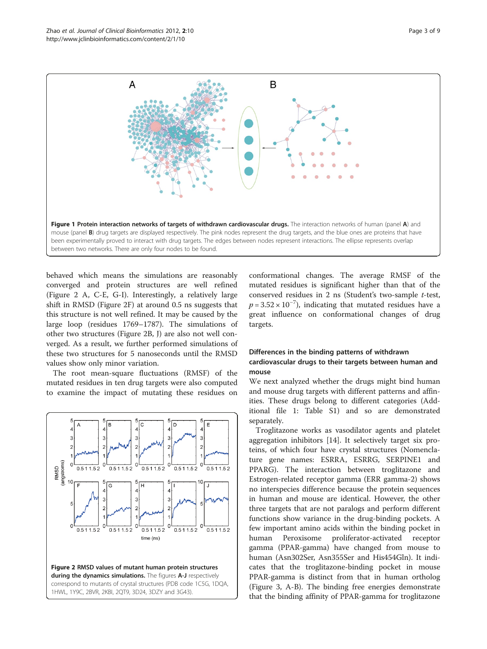<span id="page-2-0"></span>

behaved which means the simulations are reasonably converged and protein structures are well refined (Figure 2 A, C-E, G-I). Interestingly, a relatively large shift in RMSD (Figure 2F) at around 0.5 ns suggests that this structure is not well refined. It may be caused by the large loop (residues 1769–1787). The simulations of other two structures (Figure 2B, J) are also not well converged. As a result, we further performed simulations of these two structures for 5 nanoseconds until the RMSD values show only minor variation.

The root mean-square fluctuations (RMSF) of the mutated residues in ten drug targets were also computed to examine the impact of mutating these residues on



conformational changes. The average RMSF of the mutated residues is significant higher than that of the conserved residues in 2 ns (Student's two-sample t-test,  $p = 3.52 \times 10^{-7}$ ), indicating that mutated residues have a great influence on conformational changes of drug targets.

## Differences in the binding patterns of withdrawn cardiovascular drugs to their targets between human and mouse

We next analyzed whether the drugs might bind human and mouse drug targets with different patterns and affinities. These drugs belong to different categories (Additional file [1](#page-7-0): Table S1) and so are demonstrated separately.

Troglitazone works as vasodilator agents and platelet aggregation inhibitors [[14](#page-7-0)]. It selectively target six proteins, of which four have crystal structures (Nomenclature gene names: ESRRA, ESRRG, SERPINE1 and PPARG). The interaction between troglitazone and Estrogen-related receptor gamma (ERR gamma-2) shows no interspecies difference because the protein sequences in human and mouse are identical. However, the other three targets that are not paralogs and perform different functions show variance in the drug-binding pockets. A few important amino acids within the binding pocket in human Peroxisome proliferator-activated receptor gamma (PPAR-gamma) have changed from mouse to human (Asn302Ser, Asn355Ser and His454Gln). It indicates that the troglitazone-binding pocket in mouse PPAR-gamma is distinct from that in human ortholog (Figure [3,](#page-3-0) A-B). The binding free energies demonstrate that the binding affinity of PPAR-gamma for troglitazone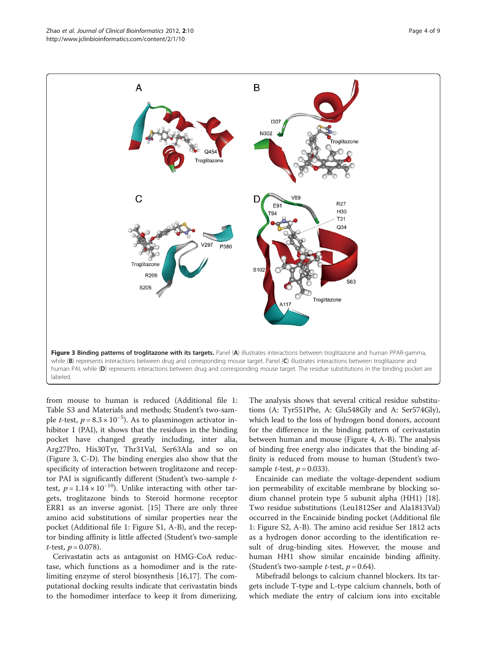<span id="page-3-0"></span>

from mouse to human is reduced (Additional file [1](#page-7-0): Table S3 and [Materials and methods](#page-6-0); Student's two-sample *t*-test,  $p = 8.3 \times 10^{-5}$ ). As to plasminogen activator inhibitor 1 (PAI), it shows that the residues in the binding pocket have changed greatly including, inter alia, Arg27Pro, His30Tyr, Thr31Val, Ser63Ala and so on (Figure 3, C-D). The binding energies also show that the specificity of interaction between troglitazone and receptor PAI is significantly different (Student's two-sample ttest,  $p = 1.14 \times 10^{-10}$ ). Unlike interacting with other targets, troglitazone binds to Steroid hormone receptor ERR1 as an inverse agonist. [[15\]](#page-7-0) There are only three amino acid substitutions of similar properties near the pocket (Additional file [1:](#page-7-0) Figure S1, A-B), and the receptor binding affinity is little affected (Student's two-sample *t*-test,  $p = 0.078$ .

Cerivastatin acts as antagonist on HMG-CoA reductase, which functions as a homodimer and is the ratelimiting enzyme of sterol biosynthesis [\[16,17\]](#page-7-0). The computational docking results indicate that cerivastatin binds to the homodimer interface to keep it from dimerizing. The analysis shows that several critical residue substitutions (A: Tyr551Phe, A: Glu548Gly and A: Ser574Gly), which lead to the loss of hydrogen bond donors, account for the difference in the binding pattern of cerivastatin between human and mouse (Figure [4](#page-4-0), A-B). The analysis of binding free energy also indicates that the binding affinity is reduced from mouse to human (Student's twosample *t*-test,  $p = 0.033$ ).

Encainide can mediate the voltage-dependent sodium ion permeability of excitable membrane by blocking sodium channel protein type 5 subunit alpha (HH1) [[18](#page-7-0)]. Two residue substitutions (Leu1812Ser and Ala1813Val) occurred in the Encainide binding pocket (Additional file [1:](#page-7-0) Figure S2, A-B). The amino acid residue Ser 1812 acts as a hydrogen donor according to the identification result of drug-binding sites. However, the mouse and human HH1 show similar encainide binding affinity. (Student's two-sample *t*-test,  $p = 0.64$ ).

Mibefradil belongs to calcium channel blockers. Its targets include T-type and L-type calcium channels, both of which mediate the entry of calcium ions into excitable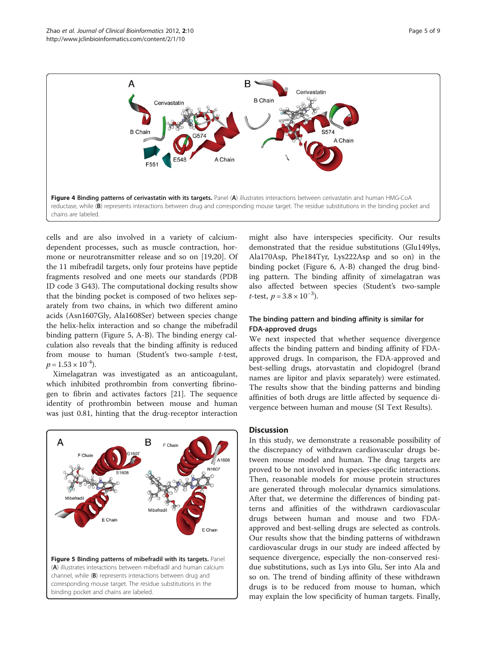<span id="page-4-0"></span>

cells and are also involved in a variety of calciumdependent processes, such as muscle contraction, hormone or neurotransmitter release and so on [\[19,20\]](#page-7-0). Of the 11 mibefradil targets, only four proteins have peptide fragments resolved and one meets our standards (PDB ID code 3 G43). The computational docking results show that the binding pocket is composed of two helixes separately from two chains, in which two different amino acids (Asn1607Gly, Ala1608Ser) between species change the helix-helix interaction and so change the mibefradil binding pattern (Figure 5, A-B). The binding energy calculation also reveals that the binding affinity is reduced from mouse to human (Student's two-sample t-test,  $p = 1.53 \times 10^{-4}$ .

Ximelagatran was investigated as an anticoagulant, which inhibited prothrombin from converting fibrinogen to fibrin and activates factors [\[21\]](#page-7-0). The sequence identity of prothrombin between mouse and human was just 0.81, hinting that the drug-receptor interaction



might also have interspecies specificity. Our results demonstrated that the residue substitutions (Glu149lys, Ala170Asp, Phe184Tyr, Lys222Asp and so on) in the binding pocket (Figure [6,](#page-5-0) A-B) changed the drug binding pattern. The binding affinity of ximelagatran was also affected between species (Student's two-sample t-test,  $p = 3.8 \times 10^{-3}$ ).

## The binding pattern and binding affinity is similar for FDA-approved drugs

We next inspected that whether sequence divergence affects the binding pattern and binding affinity of FDAapproved drugs. In comparison, the FDA-approved and best-selling drugs, atorvastatin and clopidogrel (brand names are lipitor and plavix separately) were estimated. The results show that the binding patterns and binding affinities of both drugs are little affected by sequence divergence between human and mouse (SI Text Results).

#### **Discussion**

In this study, we demonstrate a reasonable possibility of the discrepancy of withdrawn cardiovascular drugs between mouse model and human. The drug targets are proved to be not involved in species-specific interactions. Then, reasonable models for mouse protein structures are generated through molecular dynamics simulations. After that, we determine the differences of binding patterns and affinities of the withdrawn cardiovascular drugs between human and mouse and two FDAapproved and best-selling drugs are selected as controls. Our results show that the binding patterns of withdrawn cardiovascular drugs in our study are indeed affected by sequence divergence, especially the non-conserved residue substitutions, such as Lys into Glu, Ser into Ala and so on. The trend of binding affinity of these withdrawn drugs is to be reduced from mouse to human, which may explain the low specificity of human targets. Finally,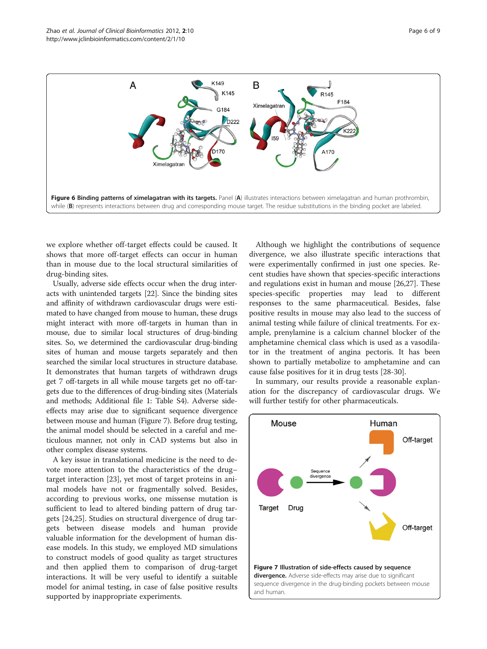<span id="page-5-0"></span>

we explore whether off-target effects could be caused. It shows that more off-target effects can occur in human than in mouse due to the local structural similarities of drug-binding sites.

Usually, adverse side effects occur when the drug interacts with unintended targets [[22](#page-7-0)]. Since the binding sites and affinity of withdrawn cardiovascular drugs were estimated to have changed from mouse to human, these drugs might interact with more off-targets in human than in mouse, due to similar local structures of drug-binding sites. So, we determined the cardiovascular drug-binding sites of human and mouse targets separately and then searched the similar local structures in structure database. It demonstrates that human targets of withdrawn drugs get 7 off-targets in all while mouse targets get no off-targets due to the differences of drug-binding sites [\(Materials](#page-6-0) [and methods](#page-6-0); Additional file [1:](#page-7-0) Table S4). Adverse sideeffects may arise due to significant sequence divergence between mouse and human (Figure 7). Before drug testing, the animal model should be selected in a careful and meticulous manner, not only in CAD systems but also in other complex disease systems.

A key issue in translational medicine is the need to devote more attention to the characteristics of the drug– target interaction [\[23](#page-7-0)], yet most of target proteins in animal models have not or fragmentally solved. Besides, according to previous works, one missense mutation is sufficient to lead to altered binding pattern of drug targets [[24,25\]](#page-7-0). Studies on structural divergence of drug targets between disease models and human provide valuable information for the development of human disease models. In this study, we employed MD simulations to construct models of good quality as target structures and then applied them to comparison of drug-target interactions. It will be very useful to identify a suitable model for animal testing, in case of false positive results supported by inappropriate experiments.

Although we highlight the contributions of sequence divergence, we also illustrate specific interactions that were experimentally confirmed in just one species. Recent studies have shown that species-specific interactions and regulations exist in human and mouse [[26,27](#page-7-0)]. These species-specific properties may lead to different responses to the same pharmaceutical. Besides, false positive results in mouse may also lead to the success of animal testing while failure of clinical treatments. For example, prenylamine is a calcium channel blocker of the amphetamine chemical class which is used as a vasodilator in the treatment of angina pectoris. It has been shown to partially metabolize to amphetamine and can cause false positives for it in drug tests [[28](#page-8-0)-[30\]](#page-8-0).

In summary, our results provide a reasonable explanation for the discrepancy of cardiovascular drugs. We will further testify for other pharmaceuticals.

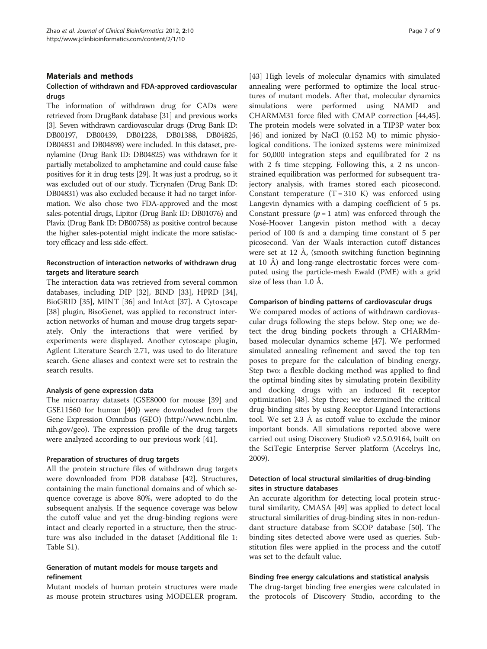#### <span id="page-6-0"></span>Materials and methods

## Collection of withdrawn and FDA-approved cardiovascular drugs

The information of withdrawn drug for CADs were retrieved from DrugBank database [\[31](#page-8-0)] and previous works [[3](#page-7-0)]. Seven withdrawn cardiovascular drugs (Drug Bank ID: DB00197, DB00439, DB01228, DB01388, DB04825, DB04831 and DB04898) were included. In this dataset, prenylamine (Drug Bank ID: DB04825) was withdrawn for it partially metabolized to amphetamine and could cause false positives for it in drug tests [[29](#page-8-0)]. It was just a prodrug, so it was excluded out of our study. Ticrynafen (Drug Bank ID: DB04831) was also excluded because it had no target information. We also chose two FDA-approved and the most sales-potential drugs, Lipitor (Drug Bank ID: DB01076) and Plavix (Drug Bank ID: DB00758) as positive control because the higher sales-potential might indicate the more satisfactory efficacy and less side-effect.

## Reconstruction of interaction networks of withdrawn drug targets and literature search

The interaction data was retrieved from several common databases, including DIP [\[32](#page-8-0)], BIND [\[33\]](#page-8-0), HPRD [[34](#page-8-0)], BioGRID [\[35](#page-8-0)], MINT [\[36](#page-8-0)] and IntAct [\[37](#page-8-0)]. A Cytoscape [[38\]](#page-8-0) plugin, BisoGenet, was applied to reconstruct interaction networks of human and mouse drug targets separately. Only the interactions that were verified by experiments were displayed. Another cytoscape plugin, Agilent Literature Search 2.71, was used to do literature search. Gene aliases and context were set to restrain the search results.

#### Analysis of gene expression data

The microarray datasets (GSE8000 for mouse [\[39\]](#page-8-0) and GSE11560 for human [[40](#page-8-0)]) were downloaded from the Gene Expression Omnibus (GEO) [\(http://www.ncbi.nlm.](http://www.ncbi.nlm.nih.gov/geo) [nih.gov/geo\)](http://www.ncbi.nlm.nih.gov/geo). The expression profile of the drug targets were analyzed according to our previous work [\[41](#page-8-0)].

#### Preparation of structures of drug targets

All the protein structure files of withdrawn drug targets were downloaded from PDB database [\[42](#page-8-0)]. Structures, containing the main functional domains and of which sequence coverage is above 80%, were adopted to do the subsequent analysis. If the sequence coverage was below the cutoff value and yet the drug-binding regions were intact and clearly reported in a structure, then the structure was also included in the dataset (Additional file [1](#page-7-0): Table S1).

#### Generation of mutant models for mouse targets and refinement

Mutant models of human protein structures were made as mouse protein structures using MODELER program.

[[43\]](#page-8-0) High levels of molecular dynamics with simulated annealing were performed to optimize the local structures of mutant models. After that, molecular dynamics simulations were performed using NAMD and CHARMM31 force filed with CMAP correction [[44](#page-8-0),[45](#page-8-0)]. The protein models were solvated in a TIP3P water box [[46\]](#page-8-0) and ionized by NaCl (0.152 M) to mimic physiological conditions. The ionized systems were minimized for 50,000 integration steps and equilibrated for 2 ns with 2 fs time stepping. Following this, a 2 ns unconstrained equilibration was performed for subsequent trajectory analysis, with frames stored each picosecond. Constant temperature  $(T = 310 \text{ K})$  was enforced using Langevin dynamics with a damping coefficient of 5 ps. Constant pressure ( $p = 1$  atm) was enforced through the Nosé-Hoover Langevin piston method with a decay period of 100 fs and a damping time constant of 5 per picosecond. Van der Waals interaction cutoff distances were set at 12 Å, (smooth switching function beginning at 10 Å) and long-range electrostatic forces were computed using the particle-mesh Ewald (PME) with a grid size of less than 1.0 Å.

#### Comparison of binding patterns of cardiovascular drugs

We compared modes of actions of withdrawn cardiovascular drugs following the steps below. Step one; we detect the drug binding pockets through a CHARMmbased molecular dynamics scheme [[47](#page-8-0)]. We performed simulated annealing refinement and saved the top ten poses to prepare for the calculation of binding energy. Step two: a flexible docking method was applied to find the optimal binding sites by simulating protein flexibility and docking drugs with an induced fit receptor optimization [\[48\]](#page-8-0). Step three; we determined the critical drug-binding sites by using Receptor-Ligand Interactions tool. We set 2.3 Å as cutoff value to exclude the minor important bonds. All simulations reported above were carried out using Discovery Studio© v2.5.0.9164, built on the SciTegic Enterprise Server platform (Accelrys Inc, 2009).

## Detection of local structural similarities of drug-binding sites in structure databases

An accurate algorithm for detecting local protein structural similarity, CMASA [[49\]](#page-8-0) was applied to detect local structural similarities of drug-binding sites in non-redundant structure database from SCOP database [\[50\]](#page-8-0). The binding sites detected above were used as queries. Substitution files were applied in the process and the cutoff was set to the default value.

#### Binding free energy calculations and statistical analysis

The drug-target binding free energies were calculated in the protocols of Discovery Studio, according to the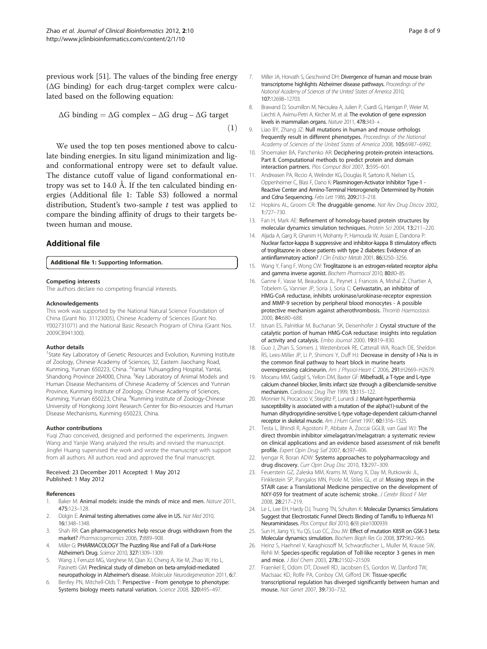<span id="page-7-0"></span>previous work [[51](#page-8-0)]. The values of the binding free energy (ΔG binding) for each drug-target complex were calculated based on the following equation:

 $\Delta G$  binding =  $\Delta G$  complex –  $\Delta G$  drug –  $\Delta G$  target  $(1)$ 

We used the top ten poses mentioned above to calculate binding energies. In situ ligand minimization and ligand conformational entropy were set to default value. The distance cutoff value of ligand conformational entropy was set to 14.0 Å. If the ten calculated binding energies (Additional file 1: Table S3) followed a normal distribution, Student's two-sample  $t$  test was applied to compare the binding affinity of drugs to their targets between human and mouse.

#### Additional file

[Additional file 1](http://www.biomedcentral.com/content/supplementary/2043-9113-2-10-S1.doc): Supporting Information.

#### Competing interests

The authors declare no competing financial interests.

#### Acknowledgements

This work was supported by the National Natural Science Foundation of China (Grant No. 31123005), Chinese Academy of Sciences (Grant No. Y002731071) and the National Basic Research Program of China (Grant Nos. 2009CB941300).

#### Author details

<sup>1</sup>State Key Laboratory of Genetic Resources and Evolution, Kunming Institute of Zoology, Chinese Academy of Sciences, 32, Eastern Jiaochang Road, Kunming, Yunnan 650223, China. <sup>2</sup>Yantai Yuhuangding Hospital, Yantai, Shandong Province 264000, China. <sup>3</sup>Key Laboratory of Animal Models and Human Disease Mechanisms of Chinese Academy of Sciences and Yunnan Province, Kunming Institute of Zoology, Chinese Academy of Sciences, Kunming, Yunnan 650223, China. <sup>4</sup> Kunming Institute of Zoology-Chinese University of Hongkong Joint Research Center for Bio-resources and Human Disease Mechanisms, Kunming 650223, China.

#### Author contributions

Yuqi Zhao conceived, designed and performed the experiments. Jingwen Wang and Yanjie Wang analyzed the results and revised the manuscript. Jingfei Huang supervised the work and wrote the manuscript with support from all authors. All authors read and approved the final manuscript.

#### Received: 23 December 2011 Accepted: 1 May 2012 Published: 1 May 2012

#### References

- 1. Baker M: Animal models: inside the minds of mice and men. Nature 2011, 475:123–128.
- 2. Dolgin E: Animal testing alternatives come alive in US. Nat Med 2010, 16:1348–1348.
- 3. Shah RR: Can pharmacogenetics help rescue drugs withdrawn from the market? Pharmacogenomics 2006, 7:889–908.
- 4. Miller G: PHARMACOLOGY The Puzzling Rise and Fall of a Dark-Horse Alzheimer's Drug. Science 2010, 327:1309–1309.
- 5. Wang J, Ferruzzi MG, Varghese M, Qian XJ, Cheng A, Xie M, Zhao W, Ho L, Pasinetti GM: Preclinical study of dimebon on beta-amyloid-mediated neuropathology in Alzheimer's disease. Molecular Neurodegeneration 2011, 6:7.
- Benfey PN, Mitchell-Olds T: Perspective From genotype to phenotype: Systems biology meets natural variation. Science 2008, 320:495–497.
- 7. Miller JA, Horvath S, Geschwind DH: Divergence of human and mouse brain transcriptome highlights Alzheimer disease pathways. Proceedings of the National Academy of Sciences of the United States of America 2010, 107:12698–12703.
- 8. Brawand D, Soumillon M, Necsulea A, Julien P, Csardi G, Harrigan P, Weier M, Liechti A, Aximu-Petri A, Kircher M, et al: The evolution of gene expression levels in mammalian organs. Nature 2011, 478:343- + .
- 9. Liao BY, Zhang JZ: Null mutations in human and mouse orthologs frequently result in different phenotypes. Proceedings of the National Academy of Sciences of the United States of America 2008, 105:6987–6992.
- 10. Shoemaker BA, Panchenko AR: Deciphering protein-protein interactions. Part II. Computational methods to predict protein and domain interaction partners. Plos Comput Biol 2007, 3:595–601.
- 11. Andreasen PA, Riccio A, Welinder KG, Douglas R, Sartorio R, Nielsen LS, Oppenheimer C, Blasi F, Dano K: Plasminogen-Activator Inhibitor Type-1 - Reactive Center and Amino-Terminal Heterogeneity Determined by Protein and Cdna Sequencing. Febs Lett 1986, 209:213–218.
- 12. Hopkins AL, Groom CR: The druggable genome. Nat Rev Drug Discov 2002, 1:727–730.
- 13. Fan H, Mark AE: Refinement of homology-based protein structures by molecular dynamics simulation techniques. Protein Sci 2004, 13:211–220.
- 14. Aljada A, Garg R, Ghanim H, Mohanty P, Hamouda W, Assian E, Dandona P: Nuclear factor-kappa B suppressive and inhibitor-kappa B stimulatory effects of troglitazone in obese patients with type 2 diabetes: Evidence of an antiinflammatory action? J Clin Endocr Metab 2001, 86:3250–3256.
- 15. Wang Y, Fang F, Wong CW: Troglitazone is an estrogen-related receptor alpha and gamma inverse agonist. Biochem Pharmacol 2010, 80:80–85.
- 16. Ganne F, Vasse M, Beaudeux JL, Peynet J, Francois A, Mishal Z, Chartier A, Tobelem G, Vannier JP, Soria J, Soria C: Cerivastatin, an inhibitor of HMG-CoA reductase, inhibits urokinase/urokinase-receptor expression and MMP-9 secretion by peripheral blood monocytes - A possible protective mechanism against atherothrombosis. Thromb Haemostasis 2000, 84:680–688.
- 17. Istvan ES, Palnitkar M, Buchanan SK, Deisenhofer J: Crystal structure of the catalytic portion of human HMG-CoA reductase: insights into regulation of activity and catalysis. Embo Journal 2000, 19:819–830.
- 18. Guo J, Zhan S, Somers J, Westenbroek RE, Catterall WA, Roach DE, Sheldon RS, Lees-Miller JP, Li P, Shimoni Y, Duff HJ: Decrease in density of I-Na is in the common final pathway to heart block in murine hearts overexpressing calcineurin. Am J Physiol-Heart C 2006, 291:H2669–H2679.
- 19. Mocanu MM, Gadgil S, Yellon DM, Baxter GF: Mibefradil, a T-type and L-type calcium channel blocker, limits infarct size through a glibenclamide-sensitive mechanism. Cardiovasc Drug Ther 1999, 13:115–122.
- 20. Monnier N, Procaccio V, Stieglitz P, Lunardi J: Malignant-hyperthermia susceptibility is associated with a mutation of the alpha(1)-subunit of the human dihydropyridine-sensitive L-type voltage-dependent calcium-channel receptor in skeletal muscle. Am J Hum Genet 1997, 60:1316–1325.
- Testa L, Bhindi R, Agostoni P, Abbate A, Zoccai GGLB, van Gaal WJ: The direct thrombin inhibitor ximelagatran/melagatran: a systematic review on clinical applications and an evidence based assessment of risk benefit profile. Expert Opin Drug Saf 2007, 6:397–406.
- 22. Iyengar R, Boran ADW: Systems approaches to polypharmacology and drug discovery. Curr Opin Drug Disc 2010, 13:297-309.
- 23. Feuerstein GZ, Zaleska MM, Krams M, Wang X, Day M, Rutkowski JL, Finklestein SP, Pangalos MN, Poole M, Stiles GL, et al: Missing steps in the STAIR case: a Translational Medicine perspective on the development of NXY-059 for treatment of acute ischemic stroke. J Cerebr Blood F Met 2008, 28:217–219.
- 24. Le L, Lee EH, Hardy DJ, Truong TN, Schulten K: Molecular Dynamics Simulations Suggest that Electrostatic Funnel Directs Binding of Tamiflu to Influenza N1 Neuraminidases. Plos Comput Biol 2010, 6(9) pii:e1000939.
- 25. Sun H, Jiang YJ, Yu QS, Luo CC, Zou JW: Effect of mutation K85R on GSK-3 beta: Molecular dynamics simulation. Biochem Bioph Res Co 2008, 377:962–965.
- 26. Heinz S, Haehnel V, Karaghiosoff M, Schwarzfischer L, Muller M, Krause SW, Rehli M: Species-specific regulation of Toll-like receptor 3 genes in men and mice. J Biol Chem 2003, 278:21502–21509.
- 27. Fraenkel E, Odom DT, Dowell RD, Jacobsen ES, Gordon W, Danford TW, MacIsaac KD, Rolfe PA, Conboy CM, Gifford DK: Tissue-specific transcriptional regulation has diverged significantly between human and mouse. Nat Genet 2007, 39:730–732.